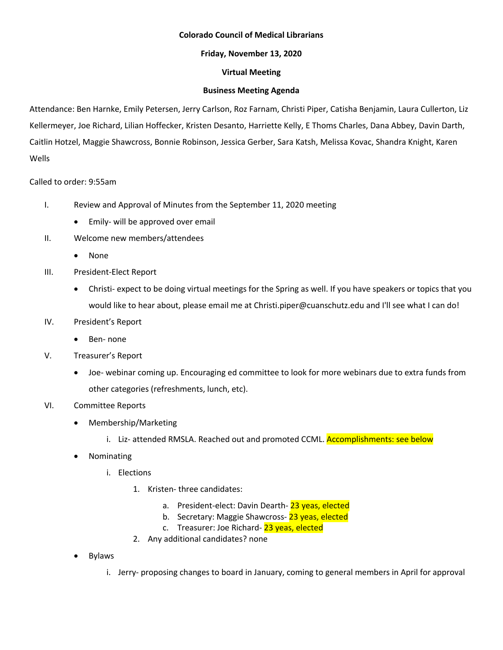# **Colorado Council of Medical Librarians**

# **Friday, November 13, 2020**

# **Virtual Meeting**

# **Business Meeting Agenda**

Attendance: Ben Harnke, Emily Petersen, Jerry Carlson, Roz Farnam, Christi Piper, Catisha Benjamin, Laura Cullerton, Liz Kellermeyer, Joe Richard, Lilian Hoffecker, Kristen Desanto, Harriette Kelly, E Thoms Charles, Dana Abbey, Davin Darth, Caitlin Hotzel, Maggie Shawcross, Bonnie Robinson, Jessica Gerber, Sara Katsh, Melissa Kovac, Shandra Knight, Karen Wells

# Called to order: 9:55am

- I. Review and Approval of Minutes from the September 11, 2020 meeting
	- Emily- will be approved over email
- II. Welcome new members/attendees
	- None
- III. President-Elect Report
	- Christi- expect to be doing virtual meetings for the Spring as well. If you have speakers or topics that you would like to hear about, please email me at Christi.piper@cuanschutz.edu and I'll see what I can do!
- IV. President's Report
	- Ben- none
- V. Treasurer's Report
	- Joe- webinar coming up. Encouraging ed committee to look for more webinars due to extra funds from other categories (refreshments, lunch, etc).
- VI. Committee Reports
	- Membership/Marketing
		- i. Liz- attended RMSLA. Reached out and promoted CCML. Accomplishments: see below
	- Nominating
		- i. Elections
			- 1. Kristen- three candidates:
				- a. President-elect: Davin Dearth- 23 yeas, elected
				- b. Secretary: Maggie Shawcross-23 yeas, elected
				- c. Treasurer: Joe Richard- 23 yeas, elected
			- 2. Any additional candidates? none
	- Bylaws
		- i. Jerry- proposing changes to board in January, coming to general members in April for approval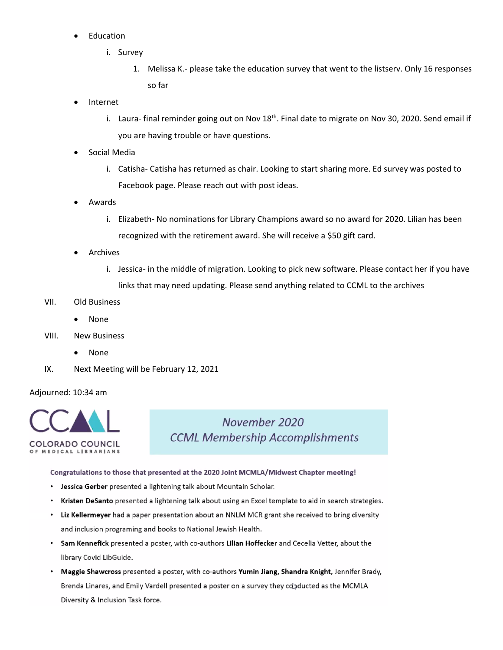- **Education** 
	- i. Survey
		- 1. Melissa K.- please take the education survey that went to the listserv. Only 16 responses so far
- Internet
	- i. Laura- final reminder going out on Nov  $18<sup>th</sup>$ . Final date to migrate on Nov 30, 2020. Send email if you are having trouble or have questions.
- Social Media
	- i. Catisha- Catisha has returned as chair. Looking to start sharing more. Ed survey was posted to Facebook page. Please reach out with post ideas.
- Awards
	- i. Elizabeth- No nominations for Library Champions award so no award for 2020. Lilian has been recognized with the retirement award. She will receive a \$50 gift card.
- **Archives** 
	- i. Jessica- in the middle of migration. Looking to pick new software. Please contact her if you have links that may need updating. Please send anything related to CCML to the archives
- VII. Old Business
	- None
- VIII. New Business
	- None
- IX. Next Meeting will be February 12, 2021

#### Adjourned: 10:34 am



November 2020 **CCML Membership Accomplishments** 

#### Congratulations to those that presented at the 2020 Joint MCMLA/Midwest Chapter meeting!

- Jessica Gerber presented a lightening talk about Mountain Scholar.  $\bullet$
- Kristen DeSanto presented a lightening talk about using an Excel template to aid in search strategies.  $\bullet$
- Liz Kellermeyer had a paper presentation about an NNLM MCR grant she received to bring diversity and inclusion programing and books to National Jewish Health.
- Sam Kennefick presented a poster, with co-authors Lilian Hoffecker and Cecelia Vetter, about the library Covid LibGuide.
- Maggie Shawcross presented a poster, with co-authors Yumin Jiang, Shandra Knight, Jennifer Brady, Brenda Linares, and Emily Vardell presented a poster on a survey they coladucted as the MCMLA Diversity & Inclusion Task force.